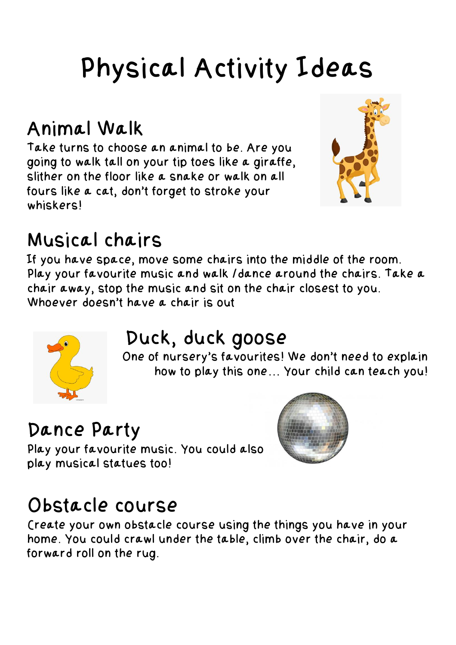# Physical Activity Ideas

#### Animal Walk

Take turns to choose an animal to be. Are you going to walk tall on your tip toes like a giraffe, slither on the floor like a snake or walk on all fours like a cat, don't forget to stroke your whiskers!



#### Musical chairs

If you have space, move some chairs into the middle of the room. Play your favourite music and walk /dance around the chairs. Take a chair away, stop the music and sit on the chair closest to you. Whoever doesn't have a chair is out



### Duck, duck goose

One of nursery's favourites! We don't need to explain how to play this one… Your child can teach you!

## Dance Party

Play your favourite music. You could also play musical statues too!



#### Obstacle course

Create your own obstacle course using the things you have in your home. You could crawl under the table, climb over the chair, do a forward roll on the rug.